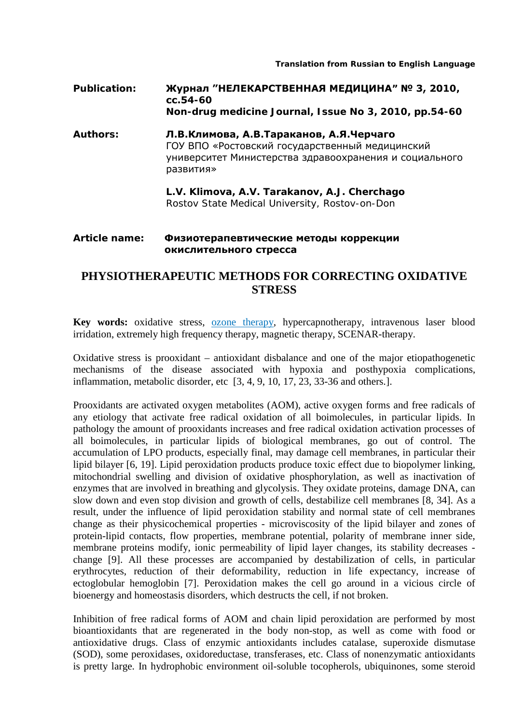*Translation from Russian to English Language*

**Publication: Журнал "НЕЛЕКАРСТВЕННАЯ МЕДИЦИНА" № 3, 2010, сс.54-60 Non-drug medicine Journal, Issue No 3, 2010, pp.54-60**

**Authors: Л.В.Климова, А.В.Тараканов, А.Я.Черчаго** ГОУ ВПО «Ростовский государственный медицинский университет Министерства здравоохранения и социального развития»

> **L.V. Klimova, A.V. Tarakanov, A.J. Cherchago** Rostov State Medical University, Rostov-on-Don

## **Article name: Физиотерапевтические методы коррекции окислительного стресса**

## **PHYSIOTHERAPEUTIC METHODS FOR CORRECTING OXIDATIVE STRESS**

**Key words:** oxidative stress, [ozone therapy,](http://www.austinozone.com/) hypercapnotherapy, intravenous laser blood irridation, extremely high frequency therapy, magnetic therapy, SCENAR-therapy.

Oxidative stress is prooxidant – antioxidant disbalance and one of the major etiopathogenetic mechanisms of the disease associated with hypoxia and posthypoxia complications, inflammation, metabolic disorder, etc [3, 4, 9, 10, 17, 23, 33-36 and others.].

Prooxidants are activated oxygen metabolites (AOM), active oxygen forms and free radicals of any etiology that activate free radical oxidation of all boimolecules, in particular lipids. In pathology the amount of prooxidants increases and free radical oxidation activation processes of all boimolecules, in particular lipids of biological membranes, go out of control. The accumulation of LPO products, especially final, may damage cell membranes, in particular their lipid bilayer [6, 19]. Lipid peroxidation products produce toxic effect due to biopolymer linking, mitochondrial swelling and division of oxidative phosphorylation, as well as inactivation of enzymes that are involved in breathing and glycolysis. They oxidate proteins, damage DNA, can slow down and even stop division and growth of cells, destabilize cell membranes [8, 34]. As a result, under the influence of lipid peroxidation stability and normal state of cell membranes change as their physicochemical properties - microviscosity of the lipid bilayer and zones of protein-lipid contacts, flow properties, membrane potential, polarity of membrane inner side, membrane proteins modify, ionic permeability of lipid layer changes, its stability decreases change [9]. All these processes are accompanied by destabilization of cells, in particular erythrocytes, reduction of their deformability, reduction in life expectancy, increase of ectoglobular hemoglobin [7]. Peroxidation makes the cell go around in a vicious circle of bioenergy and homeostasis disorders, which destructs the cell, if not broken.

Inhibition of free radical forms of AOM and chain lipid peroxidation are performed by most bioantioxidants that are regenerated in the body non-stop, as well as come with food or antioxidative drugs. Class of enzymic antioxidants includes catalase, superoxide dismutase (SOD), some peroxidases, oxidoreductase, transferases, etc. Class of nonenzymatic antioxidants is pretty large. In hydrophobic environment oil-soluble tocopherols, ubiquinones, some steroid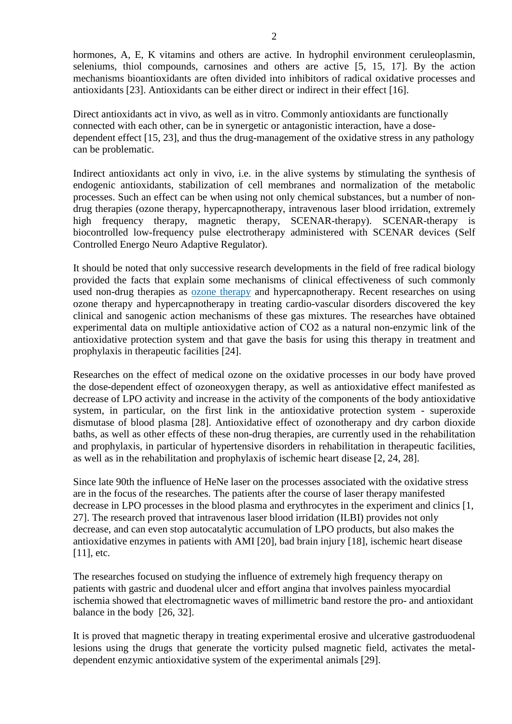hormones, A, E, K vitamins and others are active. In hydrophil environment ceruleoplasmin, seleniums, thiol compounds, carnosines and others are active [5, 15, 17]. By the action mechanisms bioantioxidants are often divided into inhibitors of radical oxidative processes and antioxidants [23]. Antioxidants can be either direct or indirect in their effect [16].

Direct antioxidants act in vivo, as well as in vitro. Commonly antioxidants are functionally connected with each other, can be in synergetic or antagonistic interaction, have a dosedependent effect [15, 23], and thus the drug-management of the oxidative stress in any pathology can be problematic.

Indirect antioxidants act only in vivo, i.e. in the alive systems by stimulating the synthesis of endogenic antioxidants, stabilization of cell membranes and normalization of the metabolic processes. Such an effect can be when using not only chemical substances, but a number of nondrug therapies (ozone therapy, hypercapnotherapy, intravenous laser blood irridation, extremely high frequency therapy, magnetic therapy, SCENAR-therapy). SCENAR-therapy is biocontrolled low-frequency pulse electrotherapy administered with SCENAR devices (Self Controlled Energo Neuro Adaptive Regulator).

It should be noted that only successive research developments in the field of free radical biology provided the facts that explain some mechanisms of clinical effectiveness of such commonly used non-drug therapies as [ozone therapy](http://www.ozonemachine.org/) and hypercapnotherapy. Recent researches on using ozone therapy and hypercapnotherapy in treating cardio-vascular disorders discovered the key clinical and sanogenic action mechanisms of these gas mixtures. The researches have obtained experimental data on multiple antioxidative action of СО2 as a natural non-enzymic link of the antioxidative protection system and that gave the basis for using this therapy in treatment and prophylaxis in therapeutic facilities [24].

Researches on the effect of medical ozone on the oxidative processes in our body have proved the dose-dependent effect of ozoneoxygen therapy, as well as antioxidative effect manifested as decrease of LPO activity and increase in the activity of the components of the body antioxidative system, in particular, on the first link in the antioxidative protection system - superoxide dismutase of blood plasma [28]. Antioxidative effect of ozonotherapy and dry carbon dioxide baths, as well as other effects of these non-drug therapies, are currently used in the rehabilitation and prophylaxis, in particular of hypertensive disorders in rehabilitation in therapeutic facilities, as well as in the rehabilitation and prophylaxis of ischemic heart disease [2, 24, 28].

Since late 90th the influence of HeNe laser on the processes associated with the oxidative stress are in the focus of the researches. The patients after the course of laser therapy manifested decrease in LPO processes in the blood plasma and erythrocytes in the experiment and clinics [1, 27]. The research proved that intravenous laser blood irridation (ILBI) provides not only decrease, and can even stop autocatalytic accumulation of LPO products, but also makes the antioxidative enzymes in patients with AMI [20], bad brain injury [18], ischemic heart disease [11], etc.

The researches focused on studying the influence of extremely high frequency therapy on patients with gastric and duodenal ulcer and effort angina that involves painless myocardial ischemia showed that electromagnetic waves of millimetric band restore the pro- and antioxidant balance in the body [26, 32].

It is proved that magnetic therapy in treating experimental erosive and ulcerative gastroduodenal lesions using the drugs that generate the vorticity pulsed magnetic field, activates the metaldependent enzymic antioxidative system of the experimental animals [29].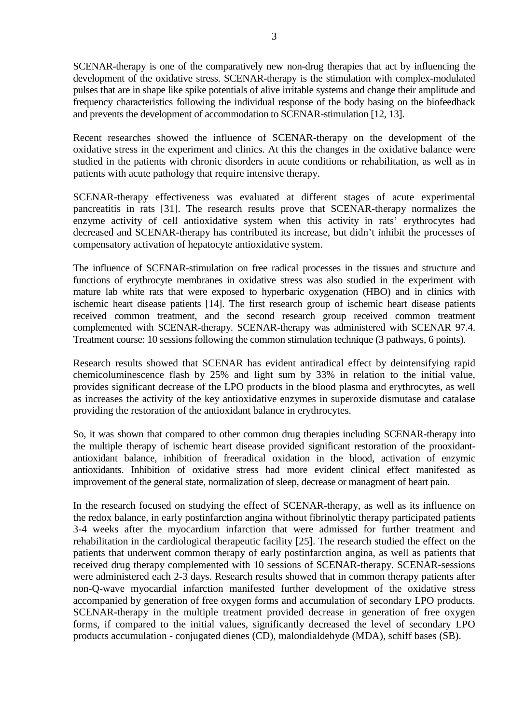SCENAR-therapy is one of the comparatively new non-drug therapies that act by influencing the development of the oxidative stress. SCENAR-therapy is the stimulation with complex-modulated pulses that are in shape like spike potentials of alive irritable systems and change their amplitude and frequency characteristics following the individual response of the body basing on the biofeedback and prevents the development of accommodation to SCENAR-stimulation [12, 13].

Recent researches showed the influence of SCENAR-therapy on the development of the oxidative stress in the experiment and clinics. At this the changes in the oxidative balance were studied in the patients with chronic disorders in acute conditions or rehabilitation, as well as in patients with acute pathology that require intensive therapy.

SCENAR-therapy effectiveness was evaluated at different stages of acute experimental pancreatitis in rats [31]. The research results prove that SCENAR-therapy normalizes the enzyme activity of cell antioxidative system when this activity in rats' erythrocytes had decreased and SCENAR-therapy has contributed its increase, but didn't inhibit the processes of compensatory activation of hepatocyte antioxidative system.

The influence of SCENAR-stimulation on free radical processes in the tissues and structure and functions of erythrocyte membranes in oxidative stress was also studied in the experiment with mature lab white rats that were exposed to hyperbaric oxygenation (HBO) and in clinics with ischemic heart disease patients [14]. The first research group of ischemic heart disease patients received common treatment, and the second research group received common treatment complemented with SCENAR-therapy. SCENAR-therapy was administered with SCENAR 97.4. Treatment course: 10 sessions following the common stimulation technique (3 pathways, 6 points).

Research results showed that SCENAR has evident antiradical effect by deintensifying rapid chemicoluminescence flash by 25% and light sum by 33% in relation to the initial value, provides significant decrease of the LPO products in the blood plasma and erythrocytes, as well as increases the activity of the key antioxidative enzymes in superoxide dismutase and catalase providing the restoration of the antioxidant balance in erythrocytes.

So, it was shown that compared to other common drug therapies including SCENAR-therapy into the multiple therapy of ischemic heart disease provided significant restoration of the prooxidantantioxidant balance, inhibition of freeradical oxidation in the blood, activation of enzymic antioxidants. Inhibition of oxidative stress had more evident clinical effect manifested as improvement of the general state, normalization of sleep, decrease or managment of heart pain.

In the research focused on studying the effect of SCENAR-therapy, as well as its influence on the redox balance, in early postinfarction angina without fibrinolytic therapy participated patients 3-4 weeks after the myocardium infarction that were admissed for further treatment and rehabilitation in the cardiological therapeutic facility [25]. The research studied the effect on the patients that underwent common therapy of early postinfarction angina, as well as patients that received drug therapy complemented with 10 sessions of SCENAR-therapy. SCENAR-sessions were administered each 2-3 days. Research results showed that in common therapy patients after non-Q-wave myocardial infarction manifested further development of the oxidative stress accompanied by generation of free oxygen forms and accumulation of secondary LPO products. SCENAR-therapy in the multiple treatment provided decrease in generation of free oxygen forms, if compared to the initial values, significantly decreased the level of secondary LPO products accumulation - conjugated dienes (CD), malondialdehyde (MDA), schiff bases (SB).